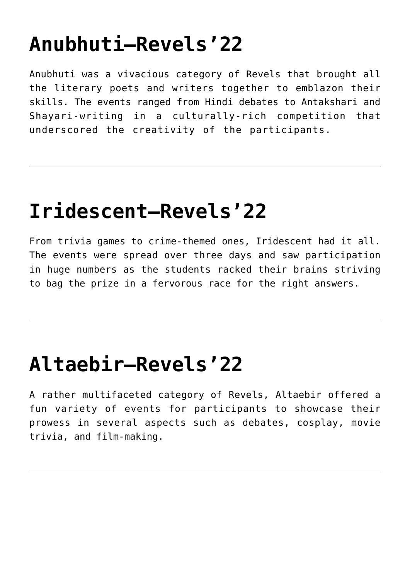# **[Anubhuti—Revels'22](https://themitpost.com/anubhuti-revels22/)**

Anubhuti was a vivacious category of Revels that brought all the literary poets and writers together to emblazon their skills. The events ranged from Hindi debates to Antakshari and Shayari-writing in a culturally-rich competition that underscored the creativity of the participants.

#### **[Iridescent—Revels'22](https://themitpost.com/iridescent-revels22/)**

From trivia games to crime-themed ones, Iridescent had it all. The events were spread over three days and saw participation in huge numbers as the students racked their brains striving to bag the prize in a fervorous race for the right answers.

### **[Altaebir—Revels'22](https://themitpost.com/altaebir-revels22/)**

A rather multifaceted category of Revels, Altaebir offered a fun variety of events for participants to showcase their prowess in several aspects such as debates, cosplay, movie trivia, and film-making.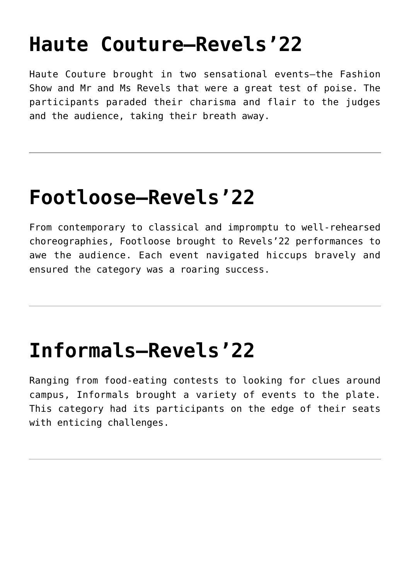# **[Haute Couture—Revels'22](https://themitpost.com/haute-couture-revels22/)**

Haute Couture brought in two sensational events—the Fashion Show and Mr and Ms Revels that were a great test of poise. The participants paraded their charisma and flair to the judges and the audience, taking their breath away.

# **[Footloose—Revels'22](https://themitpost.com/footloose-revels22/)**

From contemporary to classical and impromptu to well-rehearsed choreographies, Footloose brought to Revels'22 performances to awe the audience. Each event navigated hiccups bravely and ensured the category was a roaring success.

### **[Informals—Revels'22](https://themitpost.com/informals-revels22/)**

Ranging from food-eating contests to looking for clues around campus, Informals brought a variety of events to the plate. This category had its participants on the edge of their seats with enticing challenges.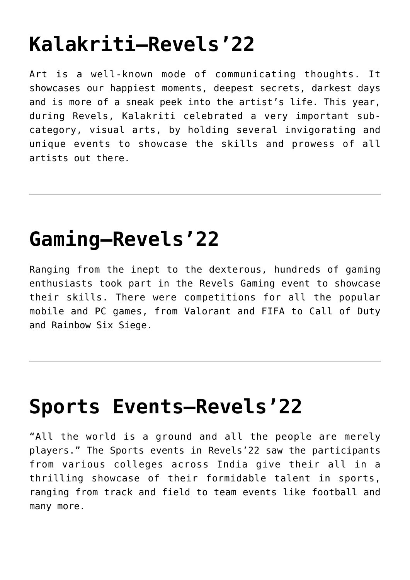# **[Kalakriti—Revels'22](https://themitpost.com/kalakriti-revels22/)**

Art is a well-known mode of communicating thoughts. It showcases our happiest moments, deepest secrets, darkest days and is more of a sneak peek into the artist's life. This year, during Revels, Kalakriti celebrated a very important subcategory, visual arts, by holding several invigorating and unique events to showcase the skills and prowess of all artists out there.

#### **[Gaming—Revels'22](https://themitpost.com/gaming-revels22/)**

Ranging from the inept to the dexterous, hundreds of gaming enthusiasts took part in the Revels Gaming event to showcase their skills. There were competitions for all the popular mobile and PC games, from Valorant and FIFA to Call of Duty and Rainbow Six Siege.

#### **[Sports Events—Revels'22](https://themitpost.com/sports-events-revels22/)**

"All the world is a ground and all the people are merely players." The Sports events in Revels'22 saw the participants from various colleges across India give their all in a thrilling showcase of their formidable talent in sports, ranging from track and field to team events like football and many more.